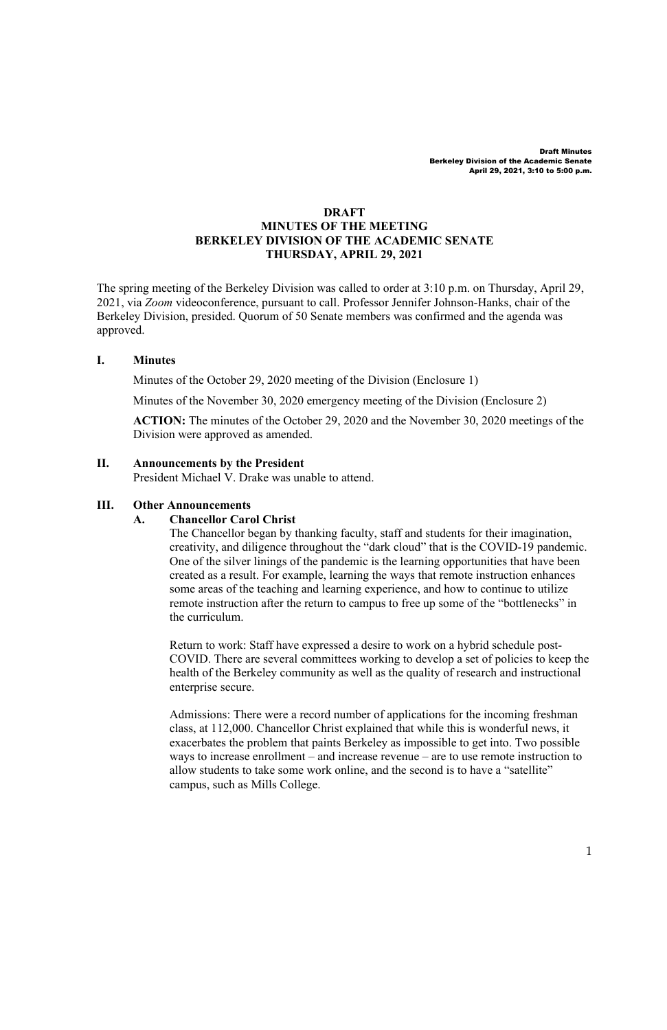## **DRAFT MINUTES OF THE MEETING BERKELEY DIVISION OF THE ACADEMIC SENATE THURSDAY, APRIL 29, 2021**

The spring meeting of the Berkeley Division was called to order at 3:10 p.m. on Thursday, April 29, 2021, via *Zoom* videoconference, pursuant to call. Professor Jennifer Johnson-Hanks, chair of the Berkeley Division, presided. Quorum of 50 Senate members was confirmed and the agenda was approved.

#### **I. Minutes**

Minutes of the October 29, 2020 meeting of the Division (Enclosure 1)

Minutes of the November 30, 2020 emergency meeting of the Division (Enclosure 2)

**ACTION:** The minutes of the October 29, 2020 and the November 30, 2020 meetings of the Division were approved as amended.

#### **II. Announcements by the President**

President Michael V. Drake was unable to attend.

#### **III. Other Announcements**

#### **A. Chancellor Carol Christ**

The Chancellor began by thanking faculty, staff and students for their imagination, creativity, and diligence throughout the "dark cloud" that is the COVID-19 pandemic. One of the silver linings of the pandemic is the learning opportunities that have been created as a result. For example, learning the ways that remote instruction enhances some areas of the teaching and learning experience, and how to continue to utilize remote instruction after the return to campus to free up some of the "bottlenecks" in the curriculum.

Return to work: Staff have expressed a desire to work on a hybrid schedule post-COVID. There are several committees working to develop a set of policies to keep the health of the Berkeley community as well as the quality of research and instructional enterprise secure.

Admissions: There were a record number of applications for the incoming freshman class, at 112,000. Chancellor Christ explained that while this is wonderful news, it exacerbates the problem that paints Berkeley as impossible to get into. Two possible ways to increase enrollment – and increase revenue – are to use remote instruction to allow students to take some work online, and the second is to have a "satellite" campus, such as Mills College.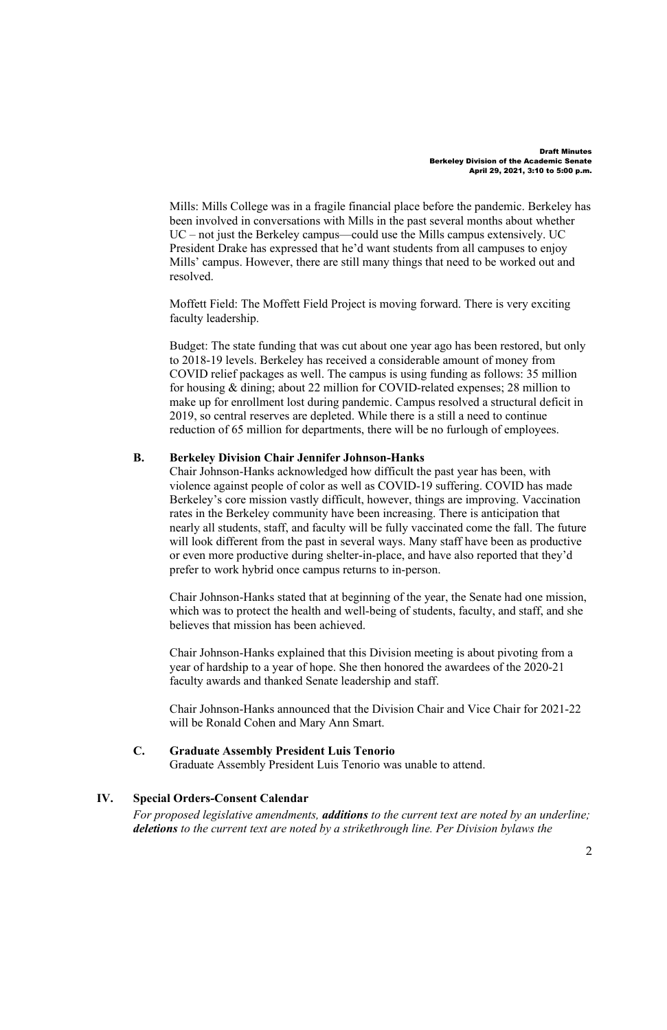Mills: Mills College was in a fragile financial place before the pandemic. Berkeley has been involved in conversations with Mills in the past several months about whether UC – not just the Berkeley campus—could use the Mills campus extensively. UC President Drake has expressed that he'd want students from all campuses to enjoy Mills' campus. However, there are still many things that need to be worked out and resolved.

Moffett Field: The Moffett Field Project is moving forward. There is very exciting faculty leadership.

Budget: The state funding that was cut about one year ago has been restored, but only to 2018-19 levels. Berkeley has received a considerable amount of money from COVID relief packages as well. The campus is using funding as follows: 35 million for housing & dining; about 22 million for COVID-related expenses; 28 million to make up for enrollment lost during pandemic. Campus resolved a structural deficit in 2019, so central reserves are depleted. While there is a still a need to continue reduction of 65 million for departments, there will be no furlough of employees.

## **B. Berkeley Division Chair Jennifer Johnson-Hanks**

Chair Johnson-Hanks acknowledged how difficult the past year has been, with violence against people of color as well as COVID-19 suffering. COVID has made Berkeley's core mission vastly difficult, however, things are improving. Vaccination rates in the Berkeley community have been increasing. There is anticipation that nearly all students, staff, and faculty will be fully vaccinated come the fall. The future will look different from the past in several ways. Many staff have been as productive or even more productive during shelter-in-place, and have also reported that they'd prefer to work hybrid once campus returns to in-person.

Chair Johnson-Hanks stated that at beginning of the year, the Senate had one mission, which was to protect the health and well-being of students, faculty, and staff, and she believes that mission has been achieved.

Chair Johnson-Hanks explained that this Division meeting is about pivoting from a year of hardship to a year of hope. She then honored the awardees of the 2020-21 faculty awards and thanked Senate leadership and staff.

Chair Johnson-Hanks announced that the Division Chair and Vice Chair for 2021-22 will be Ronald Cohen and Mary Ann Smart.

### **C. Graduate Assembly President Luis Tenorio**

Graduate Assembly President Luis Tenorio was unable to attend.

# **IV. Special Orders-Consent Calendar**

*For proposed legislative amendments, additions to the current text are noted by an underline; deletions to the current text are noted by a strikethrough line. Per Division bylaws the*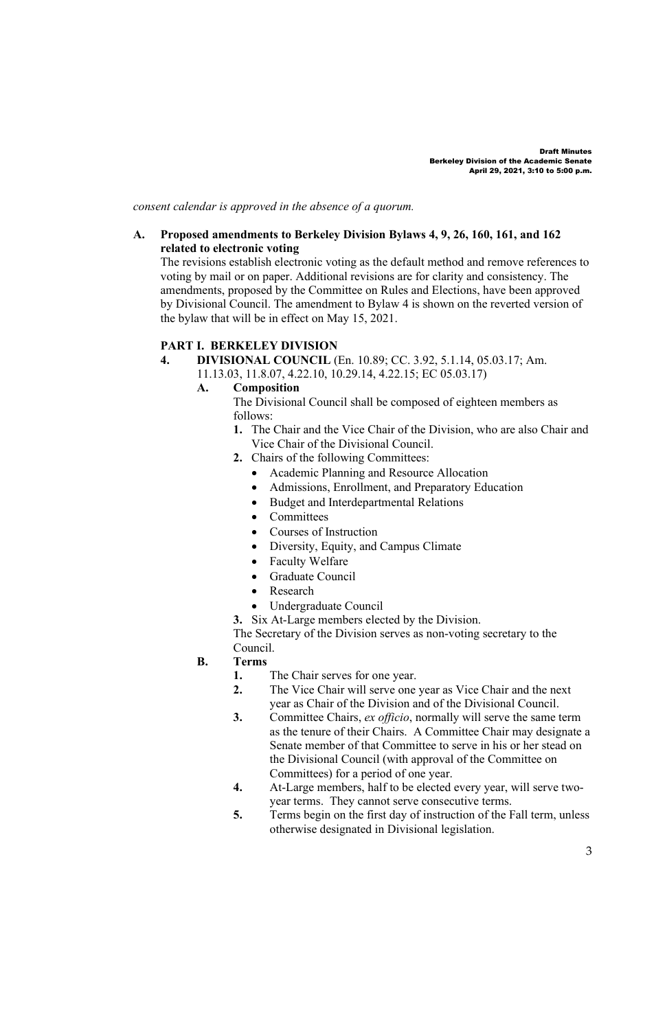*consent calendar is approved in the absence of a quorum.*

#### **A. Proposed amendments to Berkeley Division Bylaws 4, 9, 26, 160, 161, and 162 related to electronic voting**

The revisions establish electronic voting as the default method and remove references to voting by mail or on paper. Additional revisions are for clarity and consistency. The amendments, proposed by the Committee on Rules and Elections, have been approved by Divisional Council. The amendment to Bylaw 4 is shown on the reverted version of the bylaw that will be in effect on May 15, 2021.

## **PART I. BERKELEY DIVISION**

**4. DIVISIONAL COUNCIL** (En. 10.89; CC. 3.92, 5.1.14, 05.03.17; Am.

11.13.03, 11.8.07, 4.22.10, 10.29.14, 4.22.15; EC 05.03.17)

## **A. Composition**

The Divisional Council shall be composed of eighteen members as follows:

- **1.** The Chair and the Vice Chair of the Division, who are also Chair and Vice Chair of the Divisional Council.
- **2.** Chairs of the following Committees:
	- Academic Planning and Resource Allocation
	- Admissions, Enrollment, and Preparatory Education
	- Budget and Interdepartmental Relations
	- Committees
	- Courses of Instruction
	- Diversity, Equity, and Campus Climate
	- Faculty Welfare
	- Graduate Council
	- Research
	- Undergraduate Council

**3.** Six At-Large members elected by the Division.

The Secretary of the Division serves as non-voting secretary to the Council.

- **B. Terms**
	- **1.** The Chair serves for one year.<br>**2.** The Vice Chair will serve one
	- **2.** The Vice Chair will serve one year as Vice Chair and the next year as Chair of the Division and of the Divisional Council.
	- **3.** Committee Chairs, *ex officio*, normally will serve the same term as the tenure of their Chairs. A Committee Chair may designate a Senate member of that Committee to serve in his or her stead on the Divisional Council (with approval of the Committee on Committees) for a period of one year.
	- **4.** At-Large members, half to be elected every year, will serve twoyear terms. They cannot serve consecutive terms.
	- **5.** Terms begin on the first day of instruction of the Fall term, unless otherwise designated in Divisional legislation.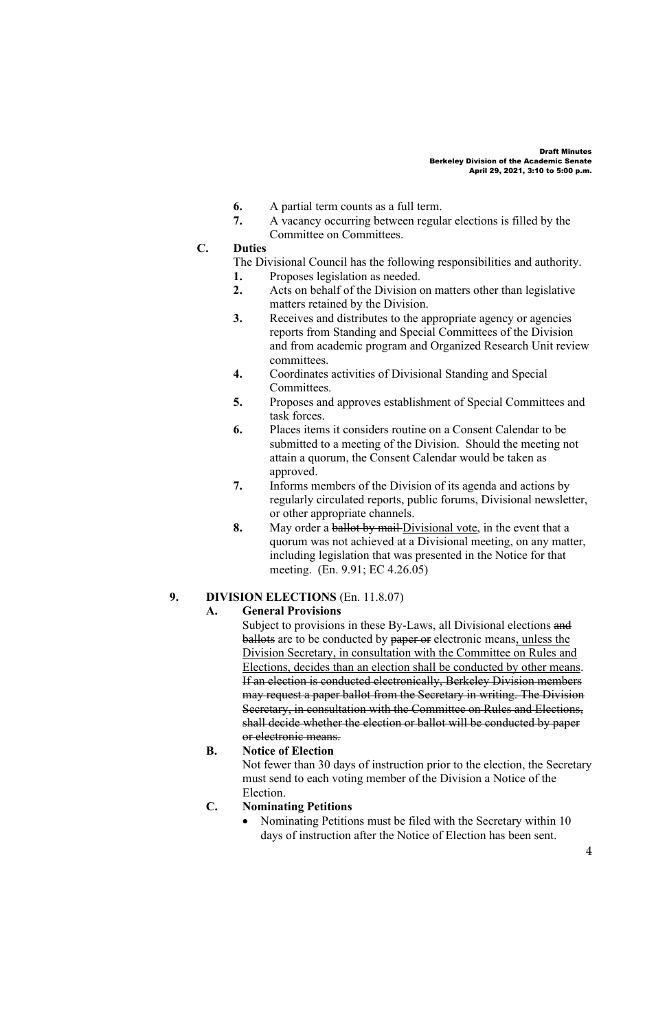- **6.** A partial term counts as a full term.
- **7.** A vacancy occurring between regular elections is filled by the Committee on Committees.

## **C. Duties**

- The Divisional Council has the following responsibilities and authority.
- **1.** Proposes legislation as needed.
- **2.** Acts on behalf of the Division on matters other than legislative matters retained by the Division.
- **3.** Receives and distributes to the appropriate agency or agencies reports from Standing and Special Committees of the Division and from academic program and Organized Research Unit review committees.
- **4.** Coordinates activities of Divisional Standing and Special Committees.
- **5.** Proposes and approves establishment of Special Committees and task forces.
- **6.** Places items it considers routine on a Consent Calendar to be submitted to a meeting of the Division. Should the meeting not attain a quorum, the Consent Calendar would be taken as approved.
- **7.** Informs members of the Division of its agenda and actions by regularly circulated reports, public forums, Divisional newsletter, or other appropriate channels.
- **8.** May order a ballot by mail Divisional vote, in the event that a quorum was not achieved at a Divisional meeting, on any matter, including legislation that was presented in the Notice for that meeting. (En. 9.91; EC 4.26.05)

## **9. DIVISION ELECTIONS** (En. 11.8.07)

### **A. General Provisions**

Subject to provisions in these By-Laws, all Divisional elections and ballots are to be conducted by paper or electronic means, unless the Division Secretary, in consultation with the Committee on Rules and Elections, decides than an election shall be conducted by other means. If an election is conducted electronically, Berkeley Division members may request a paper ballot from the Secretary in writing. The Division Secretary, in consultation with the Committee on Rules and Elections, shall decide whether the election or ballot will be conducted by paper or electronic means.

### **B. Notice of Election**

Not fewer than 30 days of instruction prior to the election, the Secretary must send to each voting member of the Division a Notice of the Election.

### **C. Nominating Petitions**

• Nominating Petitions must be filed with the Secretary within 10 days of instruction after the Notice of Election has been sent.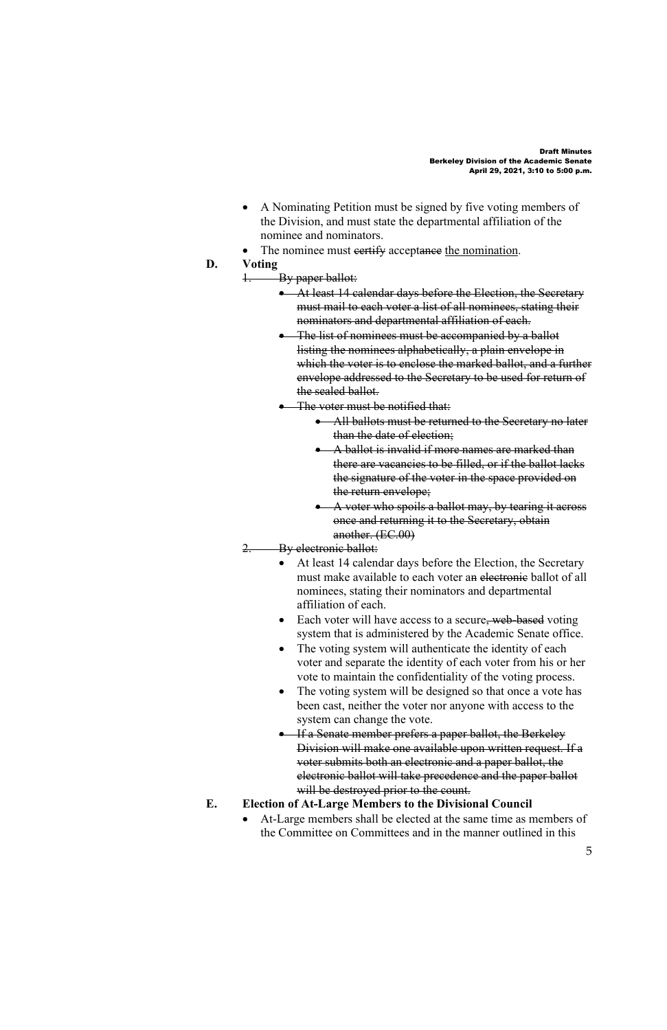- A Nominating Petition must be signed by five voting members of the Division, and must state the departmental affiliation of the nominee and nominators.
- The nominee must eertify acceptance the nomination.
- **D. Voting**
	- 1. By paper ballot:
		- At least 14 calendar days before the Election, the Secretary must mail to each voter a list of all nominees, stating their nominators and departmental affiliation of each.
		- The list of nominees must be accompanied by a ballot listing the nominees alphabetically, a plain envelope in which the voter is to enclose the marked ballot, and a further envelope addressed to the Secretary to be used for return of the sealed ballot.
		- The voter must be notified that:
			- All ballots must be returned to the Secretary no later than the date of election;
			- A ballot is invalid if more names are marked than there are vacancies to be filled, or if the ballot lacks the signature of the voter in the space provided on the return envelope;
			- A voter who spoils a ballot may, by tearing it across once and returning it to the Secretary, obtain another. (EC.00)
	- 2. By electronic ballot:
		- At least 14 calendar days before the Election, the Secretary must make available to each voter an electronic ballot of all nominees, stating their nominators and departmental affiliation of each.
		- Each voter will have access to a secure, web-based voting system that is administered by the Academic Senate office.
		- The voting system will authenticate the identity of each voter and separate the identity of each voter from his or her vote to maintain the confidentiality of the voting process.
		- The voting system will be designed so that once a vote has been cast, neither the voter nor anyone with access to the system can change the vote.
		- If a Senate member prefers a paper ballot, the Berkeley Division will make one available upon written request. If a voter submits both an electronic and a paper ballot, the electronic ballot will take precedence and the paper ballot will be destroyed prior to the count.

## **E. Election of At-Large Members to the Divisional Council**

• At-Large members shall be elected at the same time as members of the Committee on Committees and in the manner outlined in this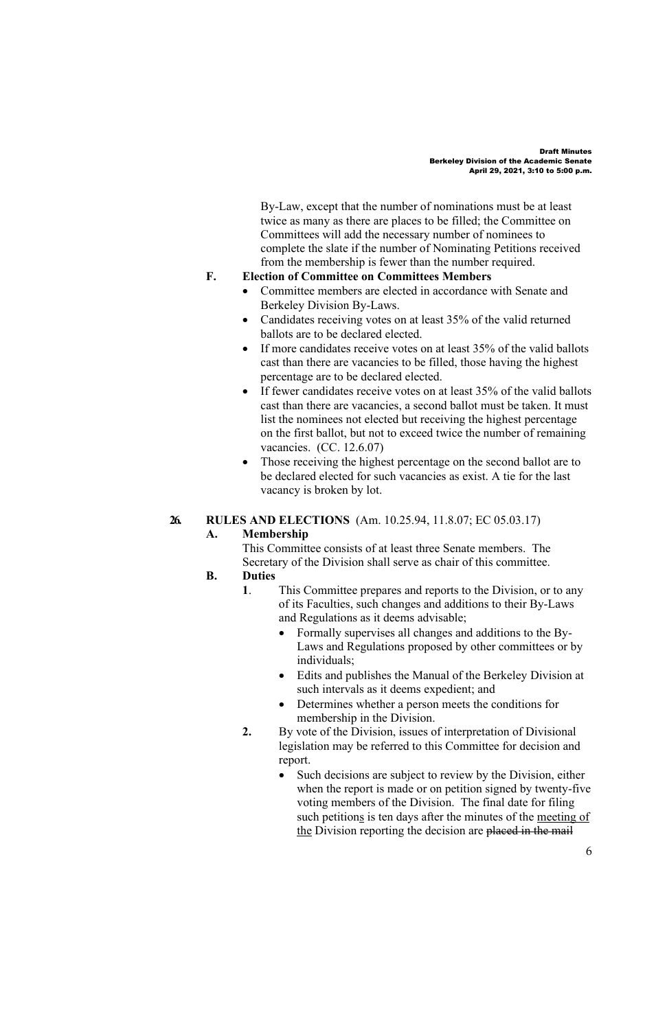By-Law, except that the number of nominations must be at least twice as many as there are places to be filled; the Committee on Committees will add the necessary number of nominees to complete the slate if the number of Nominating Petitions received from the membership is fewer than the number required.

#### **F. Election of Committee on Committees Members**

- Committee members are elected in accordance with Senate and Berkeley Division By-Laws.
- Candidates receiving votes on at least 35% of the valid returned ballots are to be declared elected.
- If more candidates receive votes on at least 35% of the valid ballots cast than there are vacancies to be filled, those having the highest percentage are to be declared elected.
- If fewer candidates receive votes on at least 35% of the valid ballots cast than there are vacancies, a second ballot must be taken. It must list the nominees not elected but receiving the highest percentage on the first ballot, but not to exceed twice the number of remaining vacancies. (CC. 12.6.07)
- Those receiving the highest percentage on the second ballot are to be declared elected for such vacancies as exist. A tie for the last vacancy is broken by lot.

## **26. RULES AND ELECTIONS** (Am. 10.25.94, 11.8.07; EC 05.03.17)

# **A. Membership**

This Committee consists of at least three Senate members. The Secretary of the Division shall serve as chair of this committee.

### **B. Duties**

- **1**. This Committee prepares and reports to the Division, or to any of its Faculties, such changes and additions to their By-Laws and Regulations as it deems advisable;
	- Formally supervises all changes and additions to the By-Laws and Regulations proposed by other committees or by individuals;
	- Edits and publishes the Manual of the Berkeley Division at such intervals as it deems expedient; and
	- Determines whether a person meets the conditions for membership in the Division.
- **2.** By vote of the Division, issues of interpretation of Divisional legislation may be referred to this Committee for decision and report.
	- Such decisions are subject to review by the Division, either when the report is made or on petition signed by twenty-five voting members of the Division. The final date for filing such petitions is ten days after the minutes of the meeting of the Division reporting the decision are placed in the mail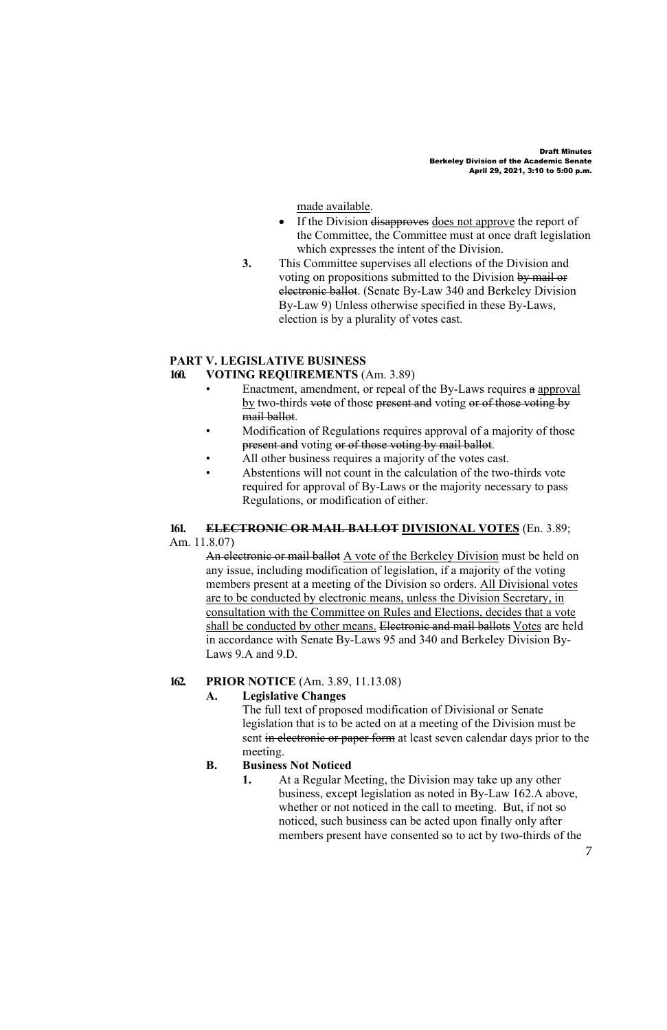made available.

- If the Division disapproves does not approve the report of the Committee, the Committee must at once draft legislation which expresses the intent of the Division.
- **3.** This Committee supervises all elections of the Division and voting on propositions submitted to the Division by mail or electronic ballot. (Senate By-Law 340 and Berkeley Division By-Law 9) Unless otherwise specified in these By-Laws, election is by a plurality of votes cast.

### **PART V. LEGISLATIVE BUSINESS**

### **160. VOTING REQUIREMENTS** (Am. 3.89)

- Enactment, amendment, or repeal of the By-Laws requires a approval by two-thirds vote of those present and voting or of those voting by mail ballot.
- Modification of Regulations requires approval of a majority of those present and voting or of those voting by mail ballot.
- All other business requires a majority of the votes cast.
- Abstentions will not count in the calculation of the two-thirds vote required for approval of By-Laws or the majority necessary to pass Regulations, or modification of either.

#### **161. ELECTRONIC OR MAIL BALLOT DIVISIONAL VOTES** (En. 3.89; Am. 11.8.07)

An electronic or mail ballot A vote of the Berkeley Division must be held on any issue, including modification of legislation, if a majority of the voting members present at a meeting of the Division so orders. All Divisional votes are to be conducted by electronic means, unless the Division Secretary, in consultation with the Committee on Rules and Elections, decides that a vote shall be conducted by other means. Electronic and mail ballots Votes are held in accordance with Senate By-Laws 95 and 340 and Berkeley Division By-Laws 9.A and 9.D.

## **162. PRIOR NOTICE** (Am. 3.89, 11.13.08)

# **A. Legislative Changes**

The full text of proposed modification of Divisional or Senate legislation that is to be acted on at a meeting of the Division must be sent in electronic or paper form at least seven calendar days prior to the meeting.

#### **B. Business Not Noticed**

**1.** At a Regular Meeting, the Division may take up any other business, except legislation as noted in By-Law 162.A above, whether or not noticed in the call to meeting. But, if not so noticed, such business can be acted upon finally only after members present have consented so to act by two-thirds of the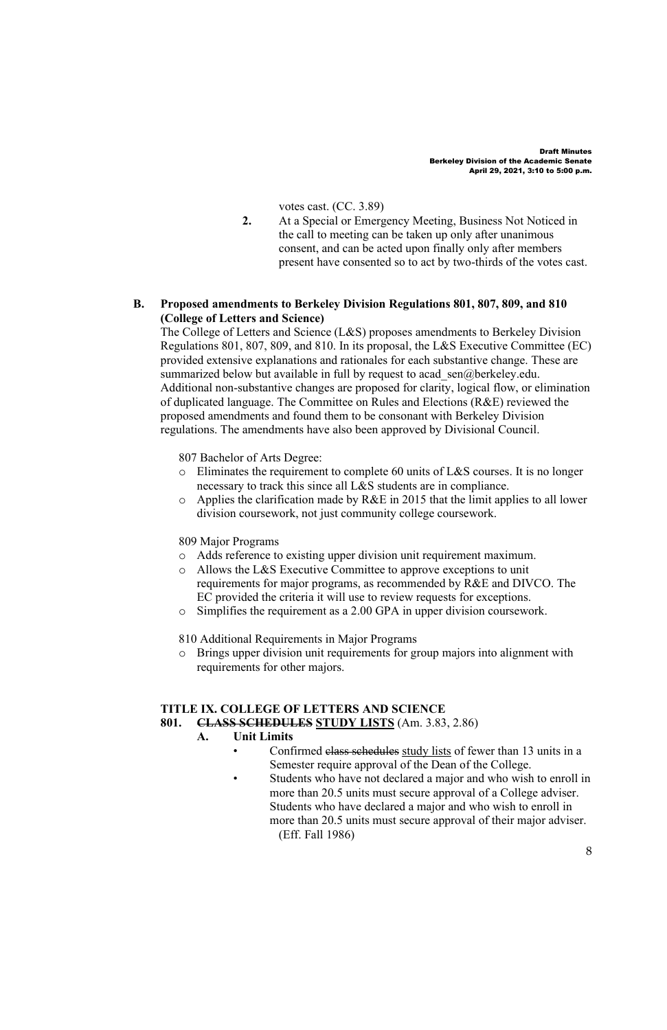votes cast. (CC. 3.89)

**2.** At a Special or Emergency Meeting, Business Not Noticed in the call to meeting can be taken up only after unanimous consent, and can be acted upon finally only after members present have consented so to act by two-thirds of the votes cast.

## **B. Proposed amendments to Berkeley Division Regulations 801, 807, 809, and 810 (College of Letters and Science)**

The College of Letters and Science (L&S) proposes amendments to Berkeley Division Regulations 801, 807, 809, and 810. In its proposal, the L&S Executive Committee (EC) provided extensive explanations and rationales for each substantive change. These are summarized below but available in full by request to acad sen@berkeley.edu. Additional non-substantive changes are proposed for clarity, logical flow, or elimination of duplicated language. The Committee on Rules and Elections (R&E) reviewed the proposed amendments and found them to be consonant with Berkeley Division regulations. The amendments have also been approved by Divisional Council.

807 Bachelor of Arts Degree:

- o Eliminates the requirement to complete 60 units of L&S courses. It is no longer necessary to track this since all L&S students are in compliance.
- o Applies the clarification made by R&E in 2015 that the limit applies to all lower division coursework, not just community college coursework.

809 Major Programs

- o Adds reference to existing upper division unit requirement maximum.
- o Allows the L&S Executive Committee to approve exceptions to unit requirements for major programs, as recommended by R&E and DIVCO. The EC provided the criteria it will use to review requests for exceptions.
- o Simplifies the requirement as a 2.00 GPA in upper division coursework.

810 Additional Requirements in Major Programs

o Brings upper division unit requirements for group majors into alignment with requirements for other majors.

# **TITLE IX. COLLEGE OF LETTERS AND SCIENCE**

**801. CLASS SCHEDULES STUDY LISTS** (Am. 3.83, 2.86)

## **A. Unit Limits**

- Confirmed class schedules study lists of fewer than 13 units in a Semester require approval of the Dean of the College.
- Students who have not declared a major and who wish to enroll in more than 20.5 units must secure approval of a College adviser. Students who have declared a major and who wish to enroll in more than 20.5 units must secure approval of their major adviser. (Eff. Fall 1986)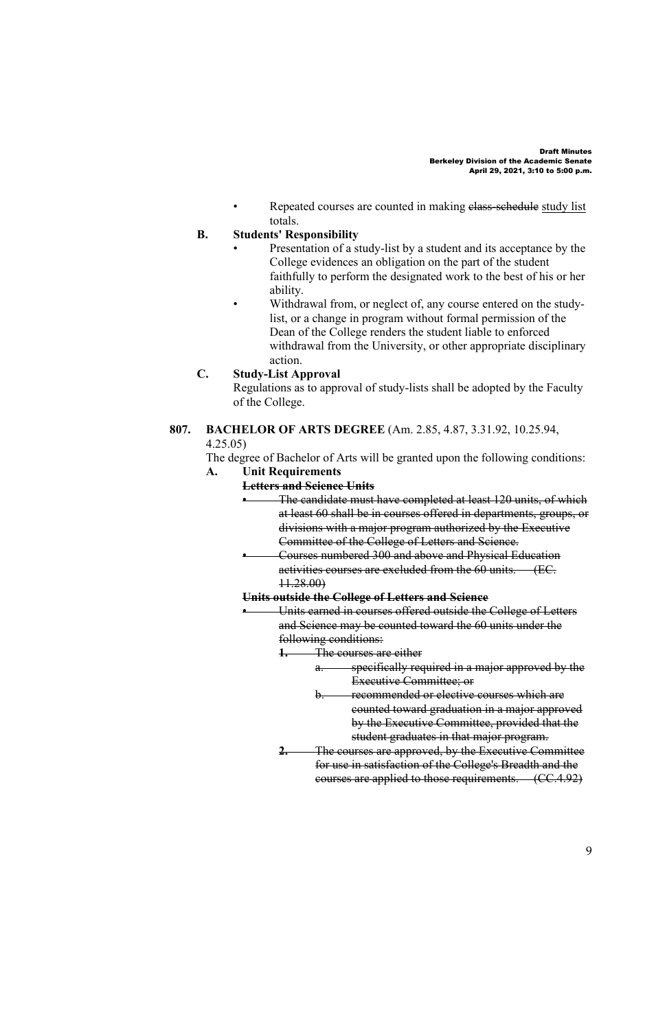Repeated courses are counted in making elass-schedule study list totals.

## **B. Students' Responsibility**

- Presentation of a study-list by a student and its acceptance by the College evidences an obligation on the part of the student faithfully to perform the designated work to the best of his or her ability.
- Withdrawal from, or neglect of, any course entered on the studylist, or a change in program without formal permission of the Dean of the College renders the student liable to enforced withdrawal from the University, or other appropriate disciplinary action.

#### **C. Study-List Approval**

Regulations as to approval of study-lists shall be adopted by the Faculty of the College.

**807. BACHELOR OF ARTS DEGREE** (Am. 2.85, 4.87, 3.31.92, 10.25.94, 4.25.05)

The degree of Bachelor of Arts will be granted upon the following conditions: **A. Unit Requirements** 

#### **Letters and Science Units**

- The candidate must have completed at least 120 units, of which at least 60 shall be in courses offered in departments, groups, or divisions with a major program authorized by the Executive Committee of the College of Letters and Science.
	- Courses numbered 300 and above and Physical Education activities courses are excluded from the 60 units. (EC. 11.28.00)

## **Units outside the College of Letters and Science**

• Units earned in courses offered outside the College of Letters and Science may be counted toward the 60 units under the following conditions:

**1.** The courses are either

- a. specifically required in a major approved by the Executive Committee; or
- recommended or elective courses which are counted toward graduation in a major approved by the Executive Committee, provided that the student graduates in that major program.
- **2.** The courses are approved, by the Executive Committee for use in satisfaction of the College's Breadth and the courses are applied to those requirements. (CC.4.92)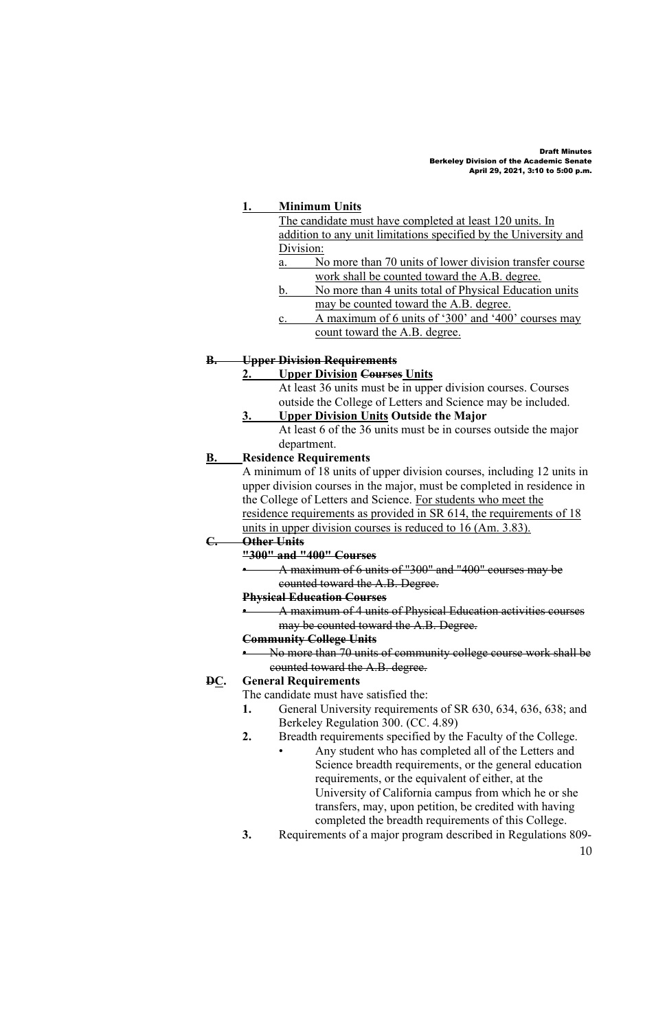## **1. Minimum Units**

| The candidate must have completed at least 120 units. In         |                                                         |
|------------------------------------------------------------------|---------------------------------------------------------|
| addition to any unit limitations specified by the University and |                                                         |
| Division:                                                        |                                                         |
| a.                                                               | No more than 70 units of lower division transfer course |
|                                                                  | work shall be counted toward the A.B. degree.           |
| b.                                                               | No more than 4 units total of Physical Education units  |
|                                                                  | may be counted toward the A.B. degree.                  |
| C.                                                               | A maximum of 6 units of '300' and '400' courses may     |
|                                                                  | count toward the A.B. degree.                           |
|                                                                  |                                                         |

#### **B. Upper Division Requirements**

## **2. Upper Division Courses Units**

At least 36 units must be in upper division courses. Courses outside the College of Letters and Science may be included.

## **3. Upper Division Units Outside the Major**

At least 6 of the 36 units must be in courses outside the major department.

## **B. Residence Requirements**

A minimum of 18 units of upper division courses, including 12 units in upper division courses in the major, must be completed in residence in the College of Letters and Science. For students who meet the residence requirements as provided in SR 614, the requirements of 18 units in upper division courses is reduced to 16 (Am. 3.83).

# **C. Other Units**

**"300" and "400" Courses**

• A maximum of 6 units of "300" and "400" courses may be counted toward the A.B. Degree.

#### **Physical Education Courses**

• A maximum of 4 units of Physical Education activities courses may be counted toward the A.B. Degree.

#### **Community College Units**

• No more than 70 units of community college course work shall be counted toward the A.B. degree.

## **DC. General Requirements**

The candidate must have satisfied the:

- **1.** General University requirements of SR 630, 634, 636, 638; and Berkeley Regulation 300. (CC. 4.89)
- **2.** Breadth requirements specified by the Faculty of the College.
	- Any student who has completed all of the Letters and Science breadth requirements, or the general education requirements, or the equivalent of either, at the University of California campus from which he or she transfers, may, upon petition, be credited with having completed the breadth requirements of this College.
- **3.** Requirements of a major program described in Regulations 809-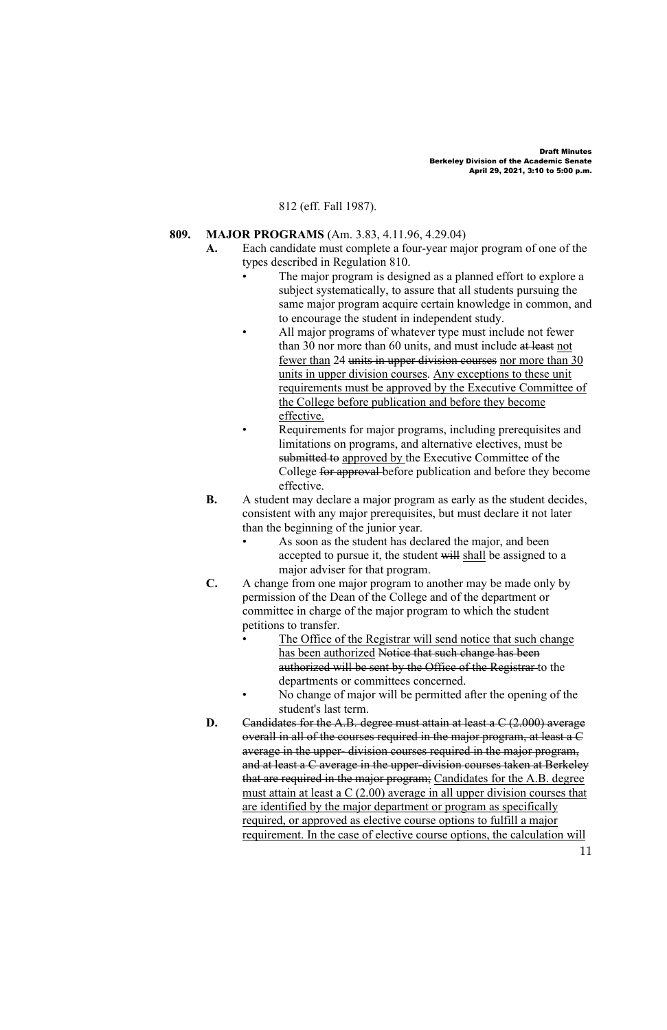## 812 (eff. Fall 1987).

## **809. MAJOR PROGRAMS** (Am. 3.83, 4.11.96, 4.29.04)

- **A.** Each candidate must complete a four-year major program of one of the types described in Regulation 810.
	- The major program is designed as a planned effort to explore a subject systematically, to assure that all students pursuing the same major program acquire certain knowledge in common, and to encourage the student in independent study.
	- All major programs of whatever type must include not fewer than 30 nor more than 60 units, and must include at least not fewer than 24 units in upper division courses nor more than 30 units in upper division courses. Any exceptions to these unit requirements must be approved by the Executive Committee of the College before publication and before they become effective.
		- Requirements for major programs, including prerequisites and limitations on programs, and alternative electives, must be submitted to approved by the Executive Committee of the College for approval before publication and before they become effective.
- **B.** A student may declare a major program as early as the student decides, consistent with any major prerequisites, but must declare it not later than the beginning of the junior year.
	- As soon as the student has declared the major, and been accepted to pursue it, the student will shall be assigned to a major adviser for that program.
- **C.** A change from one major program to another may be made only by permission of the Dean of the College and of the department or committee in charge of the major program to which the student petitions to transfer.
	- The Office of the Registrar will send notice that such change has been authorized Notice that such change has been authorized will be sent by the Office of the Registrar to the departments or committees concerned.
	- No change of major will be permitted after the opening of the student's last term.
- **D.** Candidates for the A.B. degree must attain at least a C (2.000) average overall in all of the courses required in the major program, at least a C average in the upper- division courses required in the major program, and at least a C average in the upper-division courses taken at Berkeley that are required in the major program; Candidates for the A.B. degree must attain at least a C (2.00) average in all upper division courses that are identified by the major department or program as specifically required, or approved as elective course options to fulfill a major requirement. In the case of elective course options, the calculation will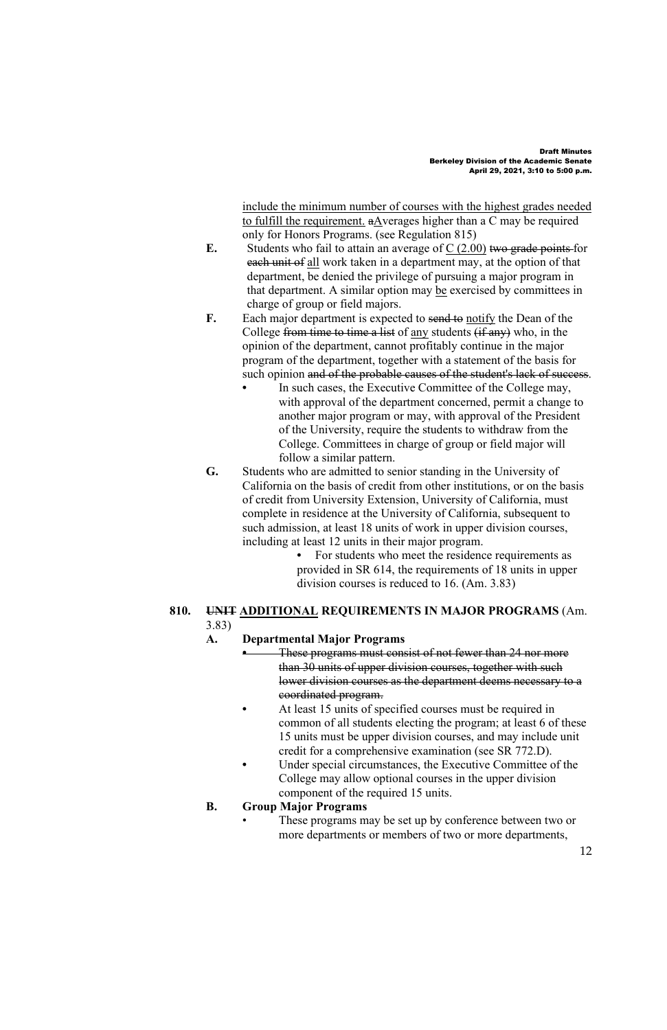include the minimum number of courses with the highest grades needed to fulfill the requirement. aAverages higher than a C may be required only for Honors Programs. (see Regulation 815)

- **E.** Students who fail to attain an average of  $C$  (2.00) two grade points for each unit of all work taken in a department may, at the option of that department, be denied the privilege of pursuing a major program in that department. A similar option may be exercised by committees in charge of group or field majors.
- **F.** Each major department is expected to send to notify the Dean of the College from time to time a list of any students  $(f_{\text{max}})$  who, in the opinion of the department, cannot profitably continue in the major program of the department, together with a statement of the basis for such opinion and of the probable causes of the student's lack of success.
	- **•** In such cases, the Executive Committee of the College may, with approval of the department concerned, permit a change to another major program or may, with approval of the President of the University, require the students to withdraw from the College. Committees in charge of group or field major will follow a similar pattern.
- **G.** Students who are admitted to senior standing in the University of California on the basis of credit from other institutions, or on the basis of credit from University Extension, University of California, must complete in residence at the University of California, subsequent to such admission, at least 18 units of work in upper division courses, including at least 12 units in their major program.

**•** For students who meet the residence requirements as provided in SR 614, the requirements of 18 units in upper division courses is reduced to 16. (Am. 3.83)

## **810. UNIT ADDITIONAL REQUIREMENTS IN MAJOR PROGRAMS** (Am. 3.83)

## **A. Departmental Major Programs**

**•** These programs must consist of not fewer than 24 nor more than 30 units of upper division courses, together with such lower division courses as the department deems necessary to a coordinated program.

- **•** At least 15 units of specified courses must be required in common of all students electing the program; at least 6 of these 15 units must be upper division courses, and may include unit credit for a comprehensive examination (see SR 772.D).
- **•** Under special circumstances, the Executive Committee of the College may allow optional courses in the upper division component of the required 15 units.

#### **B. Group Major Programs**

These programs may be set up by conference between two or more departments or members of two or more departments,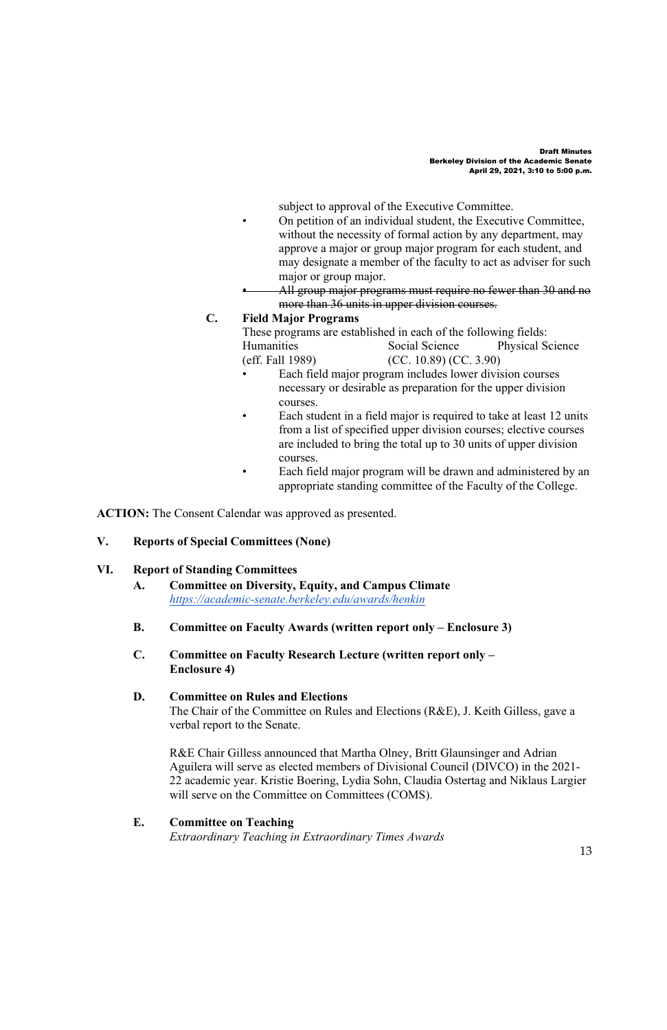subject to approval of the Executive Committee.

- On petition of an individual student, the Executive Committee, without the necessity of formal action by any department, may approve a major or group major program for each student, and may designate a member of the faculty to act as adviser for such major or group major.
- All group major programs must require no fewer than 30 and no more than 36 units in upper division courses.

## **C. Field Major Programs**

These programs are established in each of the following fields: Humanities Social Science Physical Science<br>
(eff. Fall 1989) (CC. 10.89) (CC. 3.90) (CC. 10.89) (CC. 3.90)

- Each field major program includes lower division courses necessary or desirable as preparation for the upper division courses.
- Each student in a field major is required to take at least 12 units from a list of specified upper division courses; elective courses are included to bring the total up to 30 units of upper division courses.
	- Each field major program will be drawn and administered by an appropriate standing committee of the Faculty of the College.

**ACTION:** The Consent Calendar was approved as presented.

## **V. Reports of Special Committees (None)**

## **VI. Report of Standing Committees**

- **A. Committee on Diversity, Equity, and Campus Climate** *https://academic-senate.berkeley.edu/awards/henkin*
- **B. Committee on Faculty Awards (written report only – Enclosure 3)**
- **C. Committee on Faculty Research Lecture (written report only – Enclosure 4)**

#### **D. Committee on Rules and Elections**

The Chair of the Committee on Rules and Elections (R&E), J. Keith Gilless, gave a verbal report to the Senate.

R&E Chair Gilless announced that Martha Olney, Britt Glaunsinger and Adrian Aguilera will serve as elected members of Divisional Council (DIVCO) in the 2021- 22 academic year. Kristie Boering, Lydia Sohn, Claudia Ostertag and Niklaus Largier will serve on the Committee on Committees (COMS).

## **E. Committee on Teaching**

*Extraordinary Teaching in Extraordinary Times Awards*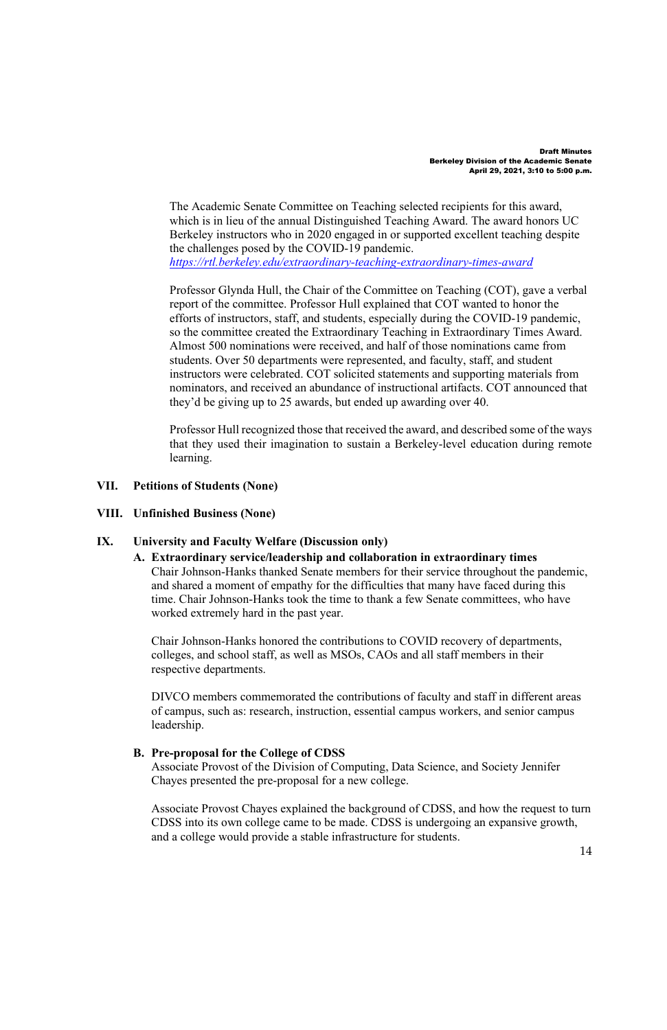The Academic Senate Committee on Teaching selected recipients for this award, which is in lieu of the annual Distinguished Teaching Award. The award honors UC Berkeley instructors who in 2020 engaged in or supported excellent teaching despite the challenges posed by the COVID-19 pandemic. *https://rtl.berkeley.edu/extraordinary-teaching-extraordinary-times-award*

Professor Glynda Hull, the Chair of the Committee on Teaching (COT), gave a verbal report of the committee. Professor Hull explained that COT wanted to honor the efforts of instructors, staff, and students, especially during the COVID-19 pandemic, so the committee created the Extraordinary Teaching in Extraordinary Times Award. Almost 500 nominations were received, and half of those nominations came from students. Over 50 departments were represented, and faculty, staff, and student instructors were celebrated. COT solicited statements and supporting materials from nominators, and received an abundance of instructional artifacts. COT announced that they'd be giving up to 25 awards, but ended up awarding over 40.

Professor Hull recognized those that received the award, and described some of the ways that they used their imagination to sustain a Berkeley-level education during remote learning.

### **VII. Petitions of Students (None)**

## **VIII. Unfinished Business (None)**

## **IX. University and Faculty Welfare (Discussion only)**

**A. Extraordinary service/leadership and collaboration in extraordinary times** Chair Johnson-Hanks thanked Senate members for their service throughout the pandemic, and shared a moment of empathy for the difficulties that many have faced during this time. Chair Johnson-Hanks took the time to thank a few Senate committees, who have worked extremely hard in the past year.

Chair Johnson-Hanks honored the contributions to COVID recovery of departments, colleges, and school staff, as well as MSOs, CAOs and all staff members in their respective departments.

DIVCO members commemorated the contributions of faculty and staff in different areas of campus, such as: research, instruction, essential campus workers, and senior campus leadership.

#### **B. Pre-proposal for the College of CDSS**

Associate Provost of the Division of Computing, Data Science, and Society Jennifer Chayes presented the pre-proposal for a new college.

Associate Provost Chayes explained the background of CDSS, and how the request to turn CDSS into its own college came to be made. CDSS is undergoing an expansive growth, and a college would provide a stable infrastructure for students.